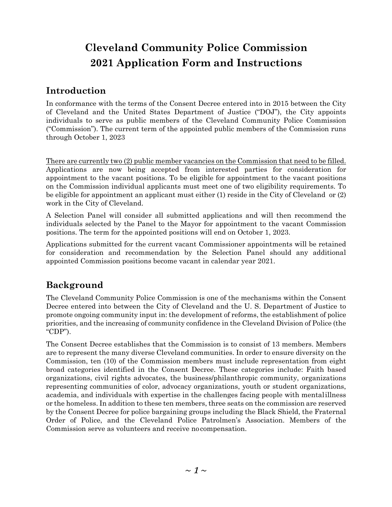# **Cleveland Community Police Commission 2021 Application Form and Instructions**

## **Introduction**

In conformance with the terms of the Consent Decree entered into in 2015 between the City of Cleveland and the United States Department of Justice ("DOJ"), the City appoints individuals to serve as public members of the Cleveland Community Police Commission ("Commission"). The current term of the appointed public members of the Commission runs through October 1, 2023

There are currently two (2) public member vacancies on the Commission that need to be filled. Applications are now being accepted from interested parties for consideration for appointment to the vacant positions. To be eligible for appointment to the vacant positions on the Commission individual applicants must meet one of two eligibility requirements. To be eligible for appointment an applicant must either (1) reside in the City of Cleveland or (2) work in the City of Cleveland.

A Selection Panel will consider all submitted applications and will then recommend the individuals selected by the Panel to the Mayor for appointment to the vacant Commission positions. The term for the appointed positions will end on October 1, 2023.

Applications submitted for the current vacant Commissioner appointments will be retained for consideration and recommendation by the Selection Panel should any additional appointed Commission positions become vacant in calendar year 2021.

## **Background**

The Cleveland Community Police Commission is one of the mechanisms within the Consent Decree entered into between the City of Cleveland and the U. S. Department of Justice to promote ongoing community input in: the development of reforms, the establishment of police priorities, and the increasing of community confidence in the Cleveland Division of Police (the "CDP").

The Consent Decree establishes that the Commission is to consist of 13 members. Members are to represent the many diverse Cleveland communities. In order to ensure diversity on the Commission, ten (10) of the Commission members must include representation from eight broad categories identified in the Consent Decree. These categories include: Faith based organizations, civil rights advocates, the business/philanthropic community, organizations representing communities of color, advocacy organizations, youth or student organizations, academia, and individuals with expertise in the challenges facing people with mentalillness or the homeless. In addition to these ten members, three seats on the commission are reserved by the Consent Decree for police bargaining groups including the Black Shield, the Fraternal Order of Police, and the Cleveland Police Patrolmen's Association. Members of the Commission serve as volunteers and receive no compensation.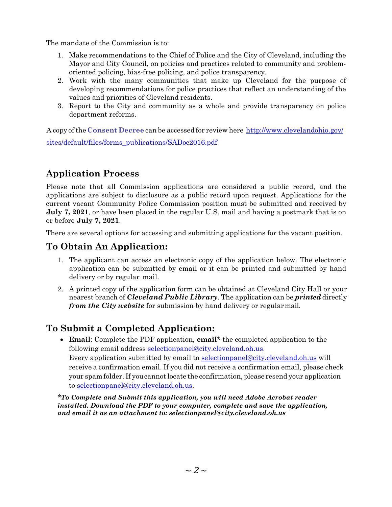The mandate of the Commission is to:

- 1. Make recommendations to the Chief of Police and the City of Cleveland, including the Mayor and City Council, on policies and practices related to community and problemoriented policing, bias-free policing, and police transparency.
- 2. Work with the many communities that make up Cleveland for the purpose of developing recommendations for police practices that reflect an understanding of the values and priorities of Cleveland residents.
- 3. Report to the City and community as a whole and provide transparency on police department reforms.

A copy ofthe **Consent Decree** can be accessed for review here <http://www.clevelandohio.gov/> sites/default/files/forms\_publications/SADoc2016.pdf

## **Application Process**

Please note that all Commission applications are considered a public record, and the applications are subject to disclosure as a public record upon request. Applications for the current vacant Community Police Commission position must be submitted and received by **July 7, 2021**, or have been placed in the regular U.S. mail and having a postmark that is on or before **July 7, 2021**.

There are several options for accessing and submitting applications for the vacant position.

### **To Obtain An Application:**

- 1. The applicant can access an electronic copy of the application below. The electronic application can be submitted by email or it can be printed and submitted by hand delivery or by regular mail.
- 2. A printed copy of the application form can be obtained at Cleveland City Hall or your nearest branch of *Cleveland Public Library*. The application can be *printed* directly *from the City website* for submission by hand delivery or regularmail.

### **To Submit a Completed Application:**

• **Email**: Complete the PDF application, **email\*** the completed application to the following email address [selectionpanel@city.cleveland.oh.us.](mailto:selectionpanel@city.cleveland.oh.us) Every application submitted by email to [selectionpanel@city.cleveland.oh.us](mailto:selectionpanel@city.cleveland.oh.us) will receive a confirmation email. If you did not receive a confirmation email, please check your spam folder. If you cannot locate the confirmation, please resend your application to [selectionpanel@city.cleveland.oh.us.](mailto:selectionpanel@city.cleveland.oh.us)

*\*To Complete and Submit this application, you will need Adobe Acrobat reader installed. Download the PDF to your computer, complete and save the application, and email it as an attachment to: [selectionpanel@city.cleveland.oh.us](mailto:selectionpanel@city.cleveland.oh.us)*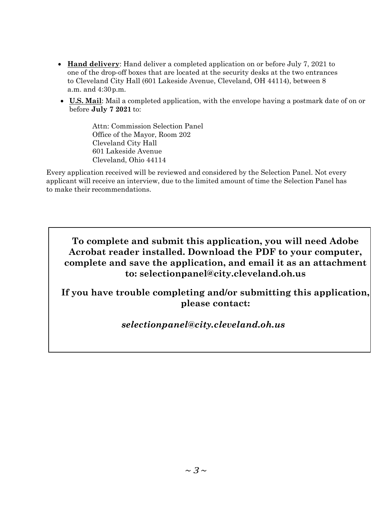- **Hand delivery**: Hand deliver a completed application on or before July 7, 2021 to one of the drop-off boxes that are located at the security desks at the two entrances to Cleveland City Hall (601 Lakeside Avenue, Cleveland, OH 44114), between 8 a.m. and 4:30p.m.
- **U.S. Mail**: Mail a completed application, with the envelope having a postmark date of on or before **July 7 2021** to:

Attn: Commission Selection Panel Office of the Mayor, Room 202 Cleveland City Hall 601 Lakeside Avenue Cleveland, Ohio 44114

Every application received will be reviewed and considered by the Selection Panel. Not every applicant will receive an interview, due to the limited amount of time the Selection Panel has to make their recommendations.

**To complete and submit this application, you will need Adobe Acrobat reader installed. Download the PDF to your computer, complete and save the application, and email it as an attachment to: [selectionpanel@city.cleveland.oh.us](mailto:selectionpanel@city.cleveland.oh.us)**

**If you have trouble completing and/or submitting this application, please contact:**

*[selectionpanel@city.cleveland.oh.us](mailto:selectionpanel@city.cleveland.oh.us)*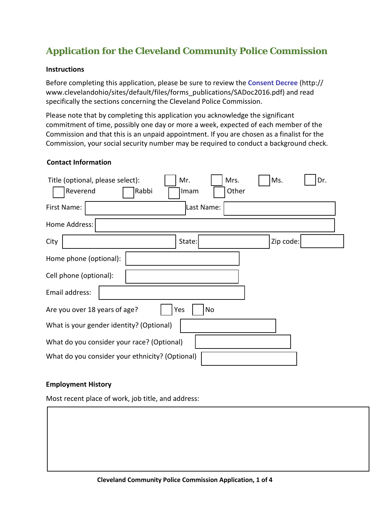## **Application for the Cleveland Community Police Commission**

#### **Instructions**

Before completing this application, please be sure to review the **Consent Decree** (http:// www.clevelandohio/sites/default/files/forms\_publications/SADoc2016.pdf) and read specifically the sections concerning the Cleveland Police Commission.

Please note that by completing this application you acknowledge the significant commitment of time, possibly one day or more a week, expected of each member of the Commission and that this is an unpaid appointment. If you are chosen as a finalist for the Commission, your social security number may be required to conduct a background check.

#### **Contact Information**

| Title (optional, please select):<br>Reverend    | Rabbi | Mr.<br>Imam | Mrs.<br>Other | Ms.       | Dr. |  |
|-------------------------------------------------|-------|-------------|---------------|-----------|-----|--|
| First Name:                                     |       | Last Name:  |               |           |     |  |
| Home Address:                                   |       |             |               |           |     |  |
| City                                            |       | State:      |               | Zip code: |     |  |
| Home phone (optional):                          |       |             |               |           |     |  |
| Cell phone (optional):                          |       |             |               |           |     |  |
| Email address:                                  |       |             |               |           |     |  |
| Are you over 18 years of age?<br>No<br>Yes      |       |             |               |           |     |  |
| What is your gender identity? (Optional)        |       |             |               |           |     |  |
| What do you consider your race? (Optional)      |       |             |               |           |     |  |
| What do you consider your ethnicity? (Optional) |       |             |               |           |     |  |

#### **Employment History**

Most recent place of work, job title, and address: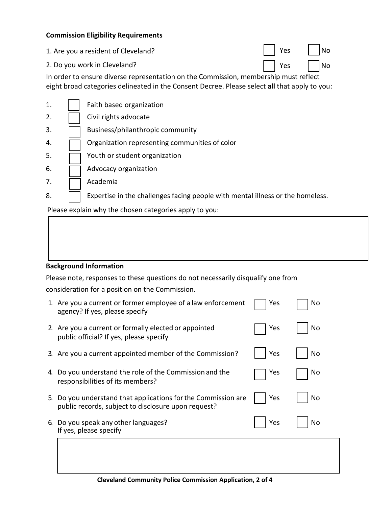#### **Commission Eligibility Requirements**

- 1. Are you a resident of Cleveland?
- 2. Do you work in Cleveland? The same section of the section of the section of the section of the section of the section of the section of the section of the section of the section of the section of the section of the sect

In order to ensure diverse representation on the Commission, membership must reflect eight broad categories delineated in the Consent Decree. Please select **all** that apply to you:

| 1.  | Faith based organization                                                       |
|-----|--------------------------------------------------------------------------------|
| 2.  | Civil rights advocate                                                          |
| 3.  | Business/philanthropic community                                               |
| 4.  | Organization representing communities of color                                 |
| -5. | Youth or student organization                                                  |
| 6.  | Advocacy organization                                                          |
| 7.  | Academia                                                                       |
| 8.  | Expertise in the challenges facing people with mental illness or the homeless. |

Please explain why the chosen categories apply to you:

#### **Background Information**

Please note, responses to these questions do not necessarily disqualify one from consideration for a position on the Commission.

|    | 1. Are you a current or former employee of a law enforcement<br>agency? If yes, please specify                    | Yes | No |
|----|-------------------------------------------------------------------------------------------------------------------|-----|----|
|    | 2. Are you a current or formally elected or appointed<br>public official? If yes, please specify                  | Yes | No |
|    | 3. Are you a current appointed member of the Commission?                                                          | Yes | No |
| 4. | Do you understand the role of the Commission and the<br>responsibilities of its members?                          | Yes | No |
| 5. | Do you understand that applications for the Commission are<br>public records, subject to disclosure upon request? | Yes | No |
| 6. | Do you speak any other languages?<br>If yes, please specify                                                       | Yes | No |
|    |                                                                                                                   |     |    |
|    |                                                                                                                   |     |    |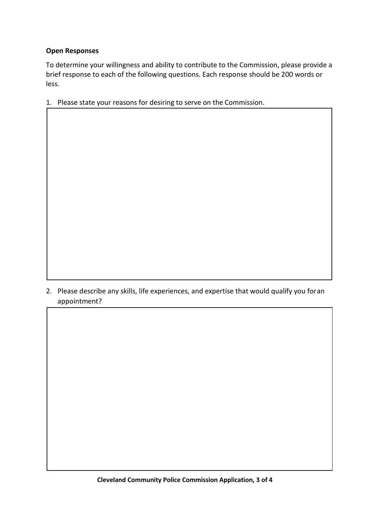#### **Open Responses**

To determine your willingness and ability to contribute to the Commission, please provide a brief response to each of the following questions. Each response should be 200 words or less.

1. Please state your reasons for desiring to serve on the Commission.

2. Please describe any skills, life experiences, and expertise that would qualify you foran appointment?